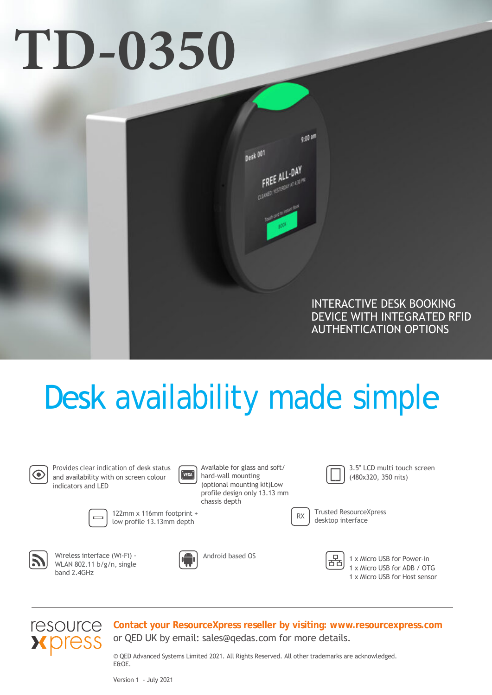# **TD-0350**



# Desk availability made simple



Provides clear indication of desk status and availability with on screen colour indicators and LED



Available for glass and soft/ hard-wall mounting (optional mounting kit)Low profile design only 13.13 mm chassis depth



Trusted ResourceXpress

3.5" LCD multi touch screen (480x320, 350 nits)

122mm x 116mm footprint + low profile 13.13mm depth



Wireless interface (Wi-Fi) - WLAN 802.11 b/g/n, single band 2.4GHz



Android based OS

몲

RX desktop interface

1 x Micro USB for Power-in 1 x Micro USB for ADB / OTG 1 x Micro USB for Host sensor



**Contact your ResourceXpress reseller by visiting: www.resourcexpress.com** or QED UK by email: sales@qedas.com for more details.

© QED Advanced Systems Limited 2021. All Rights Reserved. All other trademarks are acknowledged. E&OE.

Version 1 - July 2021